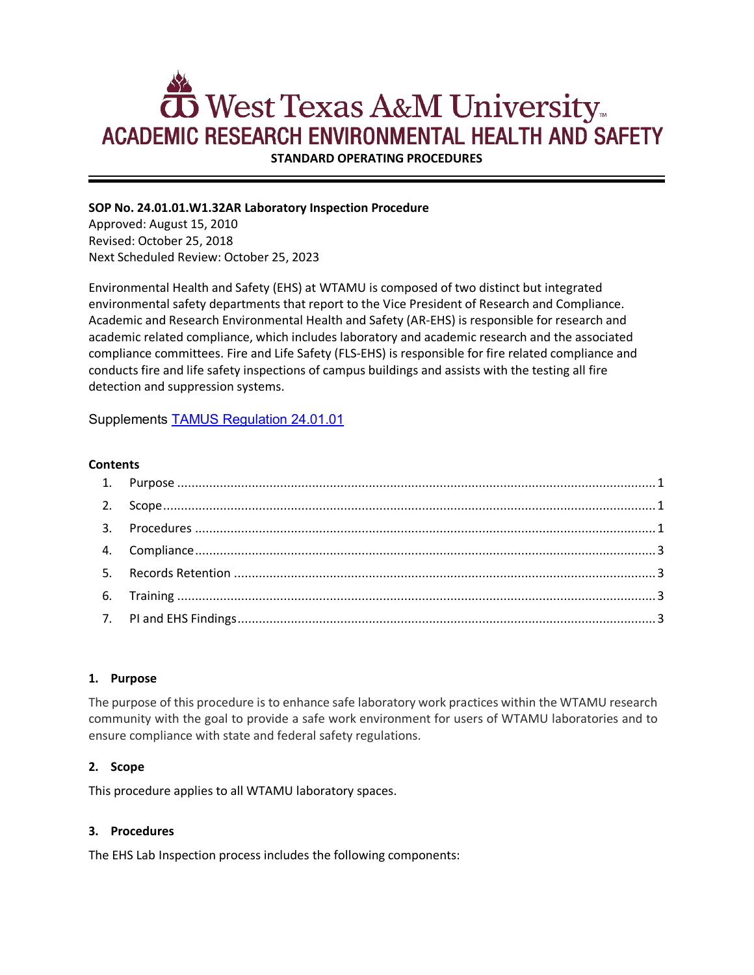# **5** West Texas A&M University... **ACADEMIC RESEARCH ENVIRONMENTAL HEALTH AND SAFETY**

**STANDARD OPERATING PROCEDURES**

## **SOP No. 24.01.01.W1.32AR Laboratory Inspection Procedure**

Approved: August 15, 2010 Revised: October 25, 2018 Next Scheduled Review: October 25, 2023

Environmental Health and Safety (EHS) at WTAMU is composed of two distinct but integrated environmental safety departments that report to the Vice President of Research and Compliance. Academic and Research Environmental Health and Safety (AR-EHS) is responsible for research and academic related compliance, which includes laboratory and academic research and the associated compliance committees. Fire and Life Safety (FLS-EHS) is responsible for fire related compliance and conducts fire and life safety inspections of campus buildings and assists with the testing all fire detection and suppression systems.

Supplements [TAMUS Regulation 24.01.01](http://policies.tamus.edu/24-01-01.pdf)

#### **Contents**

### <span id="page-0-0"></span>**1. Purpose**

The purpose of this procedure is to enhance safe laboratory work practices within the WTAMU research community with the goal to provide a safe work environment for users of WTAMU laboratories and to ensure compliance with state and federal safety regulations.

### <span id="page-0-1"></span>**2. Scope**

This procedure applies to all WTAMU laboratory spaces.

### <span id="page-0-2"></span>**3. Procedures**

The EHS Lab Inspection process includes the following components: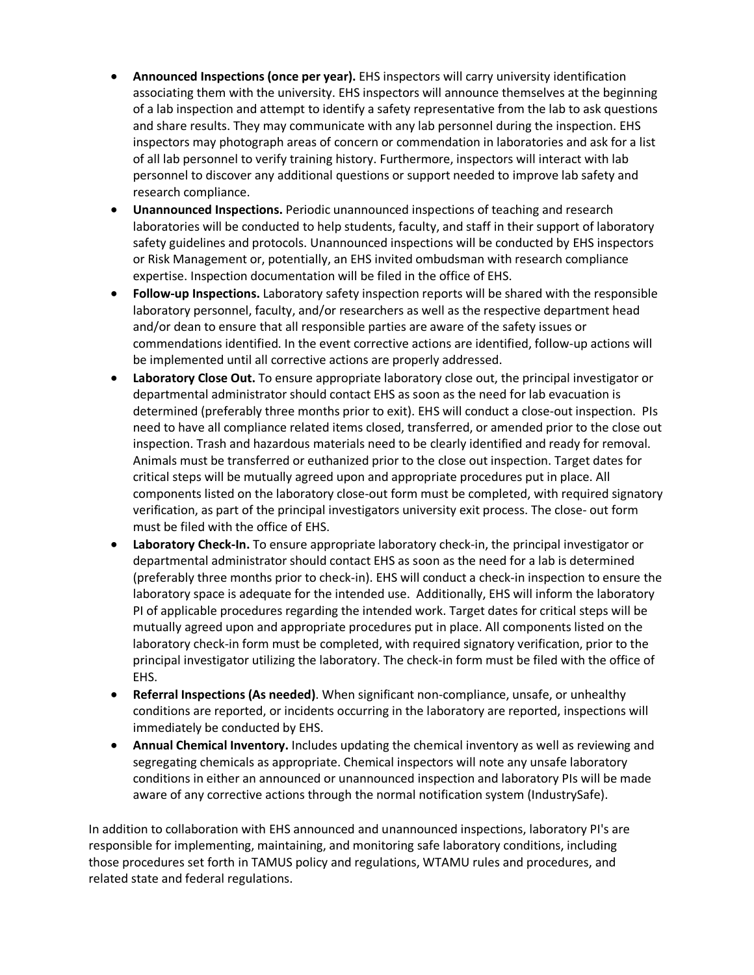- **Announced Inspections (once per year).** EHS inspectors will carry university identification associating them with the university. EHS inspectors will announce themselves at the beginning of a lab inspection and attempt to identify a safety representative from the lab to ask questions and share results. They may communicate with any lab personnel during the inspection. EHS inspectors may photograph areas of concern or commendation in laboratories and ask for a list of all lab personnel to verify training history. Furthermore, inspectors will interact with lab personnel to discover any additional questions or support needed to improve lab safety and research compliance.
- **Unannounced Inspections.** Periodic unannounced inspections of teaching and research laboratories will be conducted to help students, faculty, and staff in their support of laboratory safety guidelines and protocols. Unannounced inspections will be conducted by EHS inspectors or Risk Management or, potentially, an EHS invited ombudsman with research compliance expertise. Inspection documentation will be filed in the office of EHS.
- **Follow-up Inspections.** Laboratory safety inspection reports will be shared with the responsible laboratory personnel, faculty, and/or researchers as well as the respective department head and/or dean to ensure that all responsible parties are aware of the safety issues or commendations identified. In the event corrective actions are identified, follow-up actions will be implemented until all corrective actions are properly addressed.
- **Laboratory Close Out.** To ensure appropriate laboratory close out, the principal investigator or departmental administrator should contact EHS as soon as the need for lab evacuation is determined (preferably three months prior to exit). EHS will conduct a close-out inspection. PIs need to have all compliance related items closed, transferred, or amended prior to the close out inspection. Trash and hazardous materials need to be clearly identified and ready for removal. Animals must be transferred or euthanized prior to the close out inspection. Target dates for critical steps will be mutually agreed upon and appropriate procedures put in place. All components listed on the laboratory close-out form must be completed, with required signatory verification, as part of the principal investigators university exit process. The close- out form must be filed with the office of EHS.
- **Laboratory Check-In.** To ensure appropriate laboratory check-in, the principal investigator or departmental administrator should contact EHS as soon as the need for a lab is determined (preferably three months prior to check-in). EHS will conduct a check-in inspection to ensure the laboratory space is adequate for the intended use. Additionally, EHS will inform the laboratory PI of applicable procedures regarding the intended work. Target dates for critical steps will be mutually agreed upon and appropriate procedures put in place. All components listed on the laboratory check-in form must be completed, with required signatory verification, prior to the principal investigator utilizing the laboratory. The check-in form must be filed with the office of EHS.
- **Referral Inspections (As needed)**. When significant non-compliance, unsafe, or unhealthy conditions are reported, or incidents occurring in the laboratory are reported, inspections will immediately be conducted by EHS.
- **Annual Chemical Inventory.** Includes updating the chemical inventory as well as reviewing and segregating chemicals as appropriate. Chemical inspectors will note any unsafe laboratory conditions in either an announced or unannounced inspection and laboratory PIs will be made aware of any corrective actions through the normal notification system (IndustrySafe).

In addition to collaboration with EHS announced and unannounced inspections, laboratory PI's are responsible for implementing, maintaining, and monitoring safe laboratory conditions, including those procedures set forth in TAMUS policy and regulations, WTAMU rules and procedures, and related state and federal regulations.